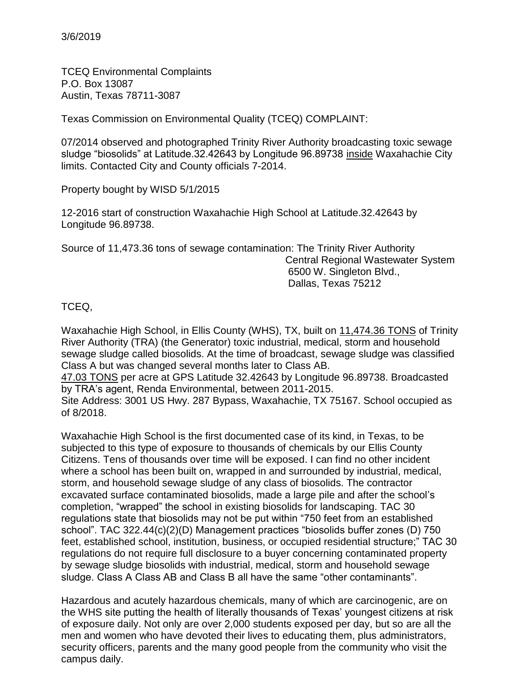TCEQ Environmental Complaints P.O. Box 13087 Austin, Texas 78711-3087

Texas Commission on Environmental Quality (TCEQ) COMPLAINT:

07/2014 observed and photographed Trinity River Authority broadcasting toxic sewage sludge "biosolids" at Latitude.32.42643 by Longitude 96.89738 inside Waxahachie City limits. Contacted City and County officials 7-2014.

Property bought by WISD 5/1/2015

12-2016 start of construction Waxahachie High School at Latitude.32.42643 by Longitude 96.89738.

Source of 11,473.36 tons of sewage contamination: The Trinity River Authority Central Regional Wastewater System 6500 W. Singleton Blvd., Dallas, Texas 75212

### TCEQ,

Waxahachie High School, in Ellis County (WHS), TX, built on 11,474.36 TONS of Trinity River Authority (TRA) (the Generator) toxic industrial, medical, storm and household sewage sludge called biosolids. At the time of broadcast, sewage sludge was classified Class A but was changed several months later to Class AB.

47.03 TONS per acre at GPS Latitude 32.42643 by Longitude 96.89738. Broadcasted by TRA's agent, Renda Environmental, between 2011-2015.

Site Address: 3001 US Hwy. 287 Bypass, Waxahachie, TX 75167. School occupied as of 8/2018.

Waxahachie High School is the first documented case of its kind, in Texas, to be subjected to this type of exposure to thousands of chemicals by our Ellis County Citizens. Tens of thousands over time will be exposed. I can find no other incident where a school has been built on, wrapped in and surrounded by industrial, medical, storm, and household sewage sludge of any class of biosolids. The contractor excavated surface contaminated biosolids, made a large pile and after the school's completion, "wrapped" the school in existing biosolids for landscaping. TAC 30 regulations state that biosolids may not be put within "750 feet from an established school". TAC 322.44(c)(2)(D) Management practices "biosolids buffer zones (D) 750 feet, established school, institution, business, or occupied residential structure;" TAC 30 regulations do not require full disclosure to a buyer concerning contaminated property by sewage sludge biosolids with industrial, medical, storm and household sewage sludge. Class A Class AB and Class B all have the same "other contaminants".

Hazardous and acutely hazardous chemicals, many of which are carcinogenic, are on the WHS site putting the health of literally thousands of Texas' youngest citizens at risk of exposure daily. Not only are over 2,000 students exposed per day, but so are all the men and women who have devoted their lives to educating them, plus administrators, security officers, parents and the many good people from the community who visit the campus daily.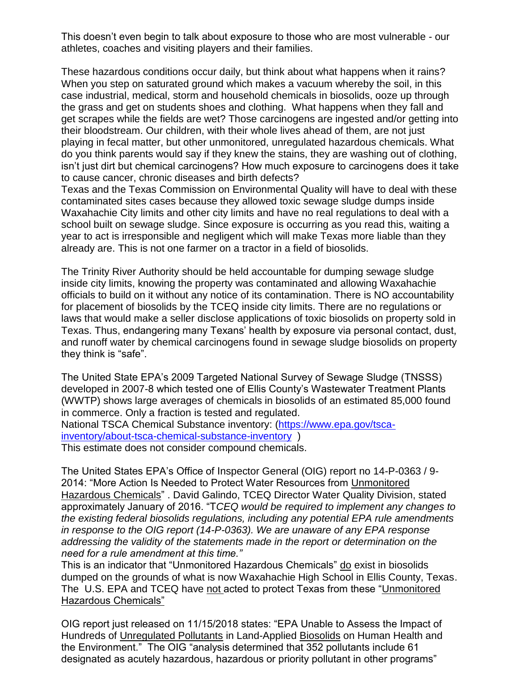This doesn't even begin to talk about exposure to those who are most vulnerable - our athletes, coaches and visiting players and their families.

These hazardous conditions occur daily, but think about what happens when it rains? When you step on saturated ground which makes a vacuum whereby the soil, in this case industrial, medical, storm and household chemicals in biosolids, ooze up through the grass and get on students shoes and clothing. What happens when they fall and get scrapes while the fields are wet? Those carcinogens are ingested and/or getting into their bloodstream. Our children, with their whole lives ahead of them, are not just playing in fecal matter, but other unmonitored, unregulated hazardous chemicals. What do you think parents would say if they knew the stains, they are washing out of clothing, isn't just dirt but chemical carcinogens? How much exposure to carcinogens does it take to cause cancer, chronic diseases and birth defects?

Texas and the Texas Commission on Environmental Quality will have to deal with these contaminated sites cases because they allowed toxic sewage sludge dumps inside Waxahachie City limits and other city limits and have no real regulations to deal with a school built on sewage sludge. Since exposure is occurring as you read this, waiting a year to act is irresponsible and negligent which will make Texas more liable than they already are. This is not one farmer on a tractor in a field of biosolids.

The Trinity River Authority should be held accountable for dumping sewage sludge inside city limits, knowing the property was contaminated and allowing Waxahachie officials to build on it without any notice of its contamination. There is NO accountability for placement of biosolids by the TCEQ inside city limits. There are no regulations or laws that would make a seller disclose applications of toxic biosolids on property sold in Texas. Thus, endangering many Texans' health by exposure via personal contact, dust, and runoff water by chemical carcinogens found in sewage sludge biosolids on property they think is "safe".

The United State EPA's 2009 Targeted National Survey of Sewage Sludge (TNSSS) developed in 2007-8 which tested one of Ellis County's Wastewater Treatment Plants (WWTP) shows large averages of chemicals in biosolids of an estimated 85,000 found in commerce. Only a fraction is tested and regulated.

National TSCA Chemical Substance inventory: [\(https://www.epa.gov/tsca](https://www.epa.gov/tsca-inventory/about-tsca-chemical-substance-inventory)[inventory/about-tsca-chemical-substance-inventory](https://www.epa.gov/tsca-inventory/about-tsca-chemical-substance-inventory) )

This estimate does not consider compound chemicals.

The United States EPA's Office of Inspector General (OIG) report no 14-P-0363 / 9- 2014: "More Action Is Needed to Protect Water Resources from Unmonitored Hazardous Chemicals" . David Galindo, TCEQ Director Water Quality Division, stated approximately January of 2016. "T*CEQ would be required to implement any changes to the existing federal biosolids regulations, including any potential EPA rule amendments in response to the OIG report (14-P-0363). We are unaware of any EPA response addressing the validity of the statements made in the report or determination on the need for a rule amendment at this time."* 

This is an indicator that "Unmonitored Hazardous Chemicals" do exist in biosolids dumped on the grounds of what is now Waxahachie High School in Ellis County, Texas. The U.S. EPA and TCEQ have not acted to protect Texas from these "Unmonitored Hazardous Chemicals"

OIG report just released on 11/15/2018 states: "EPA Unable to Assess the Impact of Hundreds of Unregulated Pollutants in Land-Applied Biosolids on Human Health and the Environment." The OIG "analysis determined that 352 pollutants include 61 designated as acutely hazardous, hazardous or priority pollutant in other programs"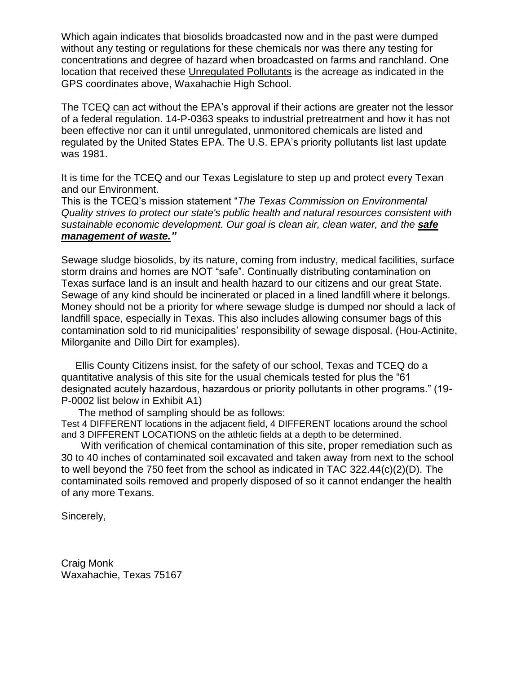Which again indicates that biosolids broadcasted now and in the past were dumped without any testing or regulations for these chemicals nor was there any testing for concentrations and degree of hazard when broadcasted on farms and ranchland. One location that received these Unregulated Pollutants is the acreage as indicated in the GPS coordinates above, Waxahachie High School.

The TCEQ can act without the EPA's approval if their actions are greater not the lessor of a federal regulation. 14-P-0363 speaks to industrial pretreatment and how it has not been effective nor can it until unregulated, unmonitored chemicals are listed and regulated by the United States EPA. The U.S. EPA's priority pollutants list last update was 1981.

It is time for the TCEQ and our Texas Legislature to step up and protect every Texan and our Environment.

This is the TCEQ's mission statement "*The Texas Commission on Environmental Quality strives to protect our state's public health and natural resources consistent with sustainable economic development. Our goal is clean air, clean water, and the safe management of waste."*

Sewage sludge biosolids, by its nature, coming from industry, medical facilities, surface storm drains and homes are NOT "safe". Continually distributing contamination on Texas surface land is an insult and health hazard to our citizens and our great State. Sewage of any kind should be incinerated or placed in a lined landfill where it belongs. Money should not be a priority for where sewage sludge is dumped nor should a lack of landfill space, especially in Texas. This also includes allowing consumer bags of this contamination sold to rid municipalities' responsibility of sewage disposal. (Hou-Actinite, Milorganite and Dillo Dirt for examples).

 Ellis County Citizens insist, for the safety of our school, Texas and TCEQ do a quantitative analysis of this site for the usual chemicals tested for plus the "61 designated acutely hazardous, hazardous or priority pollutants in other programs." (19- P-0002 list below in Exhibit A1)

The method of sampling should be as follows:

Test 4 DIFFERENT locations in the adjacent field, 4 DIFFERENT locations around the school and 3 DIFFERENT LOCATIONS on the athletic fields at a depth to be determined.

 With verification of chemical contamination of this site, proper remediation such as 30 to 40 inches of contaminated soil excavated and taken away from next to the school to well beyond the 750 feet from the school as indicated in TAC 322.44(c)(2)(D). The contaminated soils removed and properly disposed of so it cannot endanger the health of any more Texans.

Sincerely,

Craig Monk Waxahachie, Texas 75167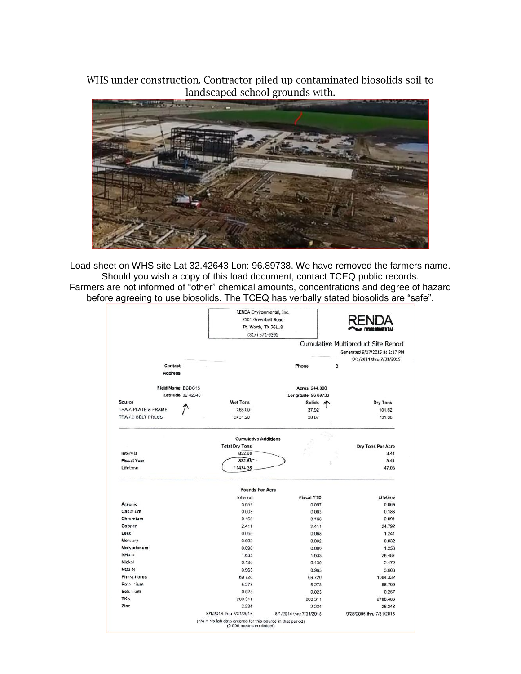WHS under construction. Contractor piled up contaminated biosolids soil to landscaped school grounds with.



Load sheet on WHS site Lat 32.42643 Lon: 96.89738. We have removed the farmers name. Should you wish a copy of this load document, contact TCEQ public records. Farmers are not informed of "other" chemical amounts, concentrations and degree of hazard before agreeing to use biosolids. The TCEQ has verbally stated biosolids are "safe".

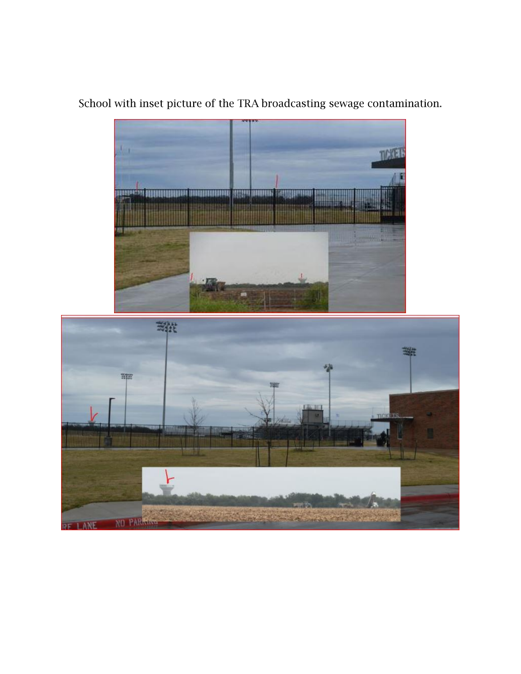

School with inset picture of the TRA broadcasting sewage contamination.

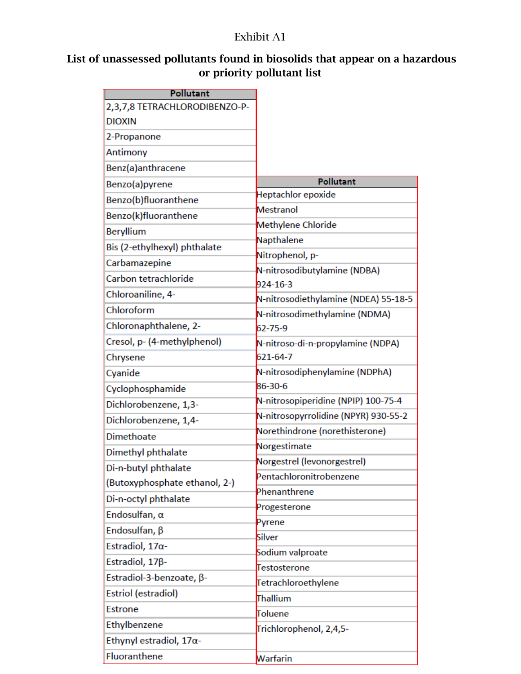## Exhibit A1

# List of unassessed pollutants found in biosolids that appear on a hazardous or priority pollutant list

| <b>Pollutant</b>                |                                          |
|---------------------------------|------------------------------------------|
| 2,3,7,8 TETRACHLORODIBENZO-P-   |                                          |
| <b>DIOXIN</b>                   |                                          |
| 2-Propanone                     |                                          |
| Antimony                        |                                          |
| Benz(a)anthracene               |                                          |
| Benzo(a)pyrene                  | <b>Pollutant</b>                         |
| Benzo(b)fluoranthene            | Heptachlor epoxide                       |
| Benzo(k)fluoranthene            | Mestranol                                |
| Beryllium                       | Methylene Chloride                       |
| Bis (2-ethylhexyl) phthalate    | Napthalene                               |
| Carbamazepine                   | Nitrophenol, p-                          |
| Carbon tetrachloride            | N-nitrosodibutylamine (NDBA)<br>924-16-3 |
| Chloroaniline, 4-               | N-nitrosodiethylamine (NDEA) 55-18-5     |
| Chloroform                      | N-nitrosodimethylamine (NDMA)            |
| Chloronaphthalene, 2-           | 62-75-9                                  |
| Cresol, p- (4-methylphenol)     | N-nitroso-di-n-propylamine (NDPA)        |
| Chrysene                        | 621-64-7                                 |
| Cyanide                         | N-nitrosodiphenylamine (NDPhA)           |
| Cyclophosphamide                | 86-30-6                                  |
| Dichlorobenzene, 1,3-           | N-nitrosopiperidine (NPIP) 100-75-4      |
| Dichlorobenzene, 1,4-           | N-nitrosopyrrolidine (NPYR) 930-55-2     |
| <b>Dimethoate</b>               | Norethindrone (norethisterone)           |
| Dimethyl phthalate              | Norgestimate                             |
| Di-n-butyl phthalate            | Norgestrel (levonorgestrel)              |
| (Butoxyphosphate ethanol, 2-)   | Pentachloronitrobenzene                  |
| Di-n-octyl phthalate            | Phenanthrene                             |
| Endosulfan, $\alpha$            | Progesterone                             |
| Endosulfan, $\beta$             | Pyrene                                   |
| Estradiol, 17a-                 | Silver                                   |
| Estradiol, 17 <sub>B</sub> -    | Sodium valproate                         |
| Estradiol-3-benzoate, β-        | Testosterone                             |
| Estriol (estradiol)             | Tetrachloroethylene                      |
| <b>Estrone</b>                  | Thallium                                 |
| Ethylbenzene                    | Toluene                                  |
| Ethynyl estradiol, $17\alpha$ - | Trichlorophenol, 2,4,5-                  |
| Fluoranthene                    | Warfarin                                 |
|                                 |                                          |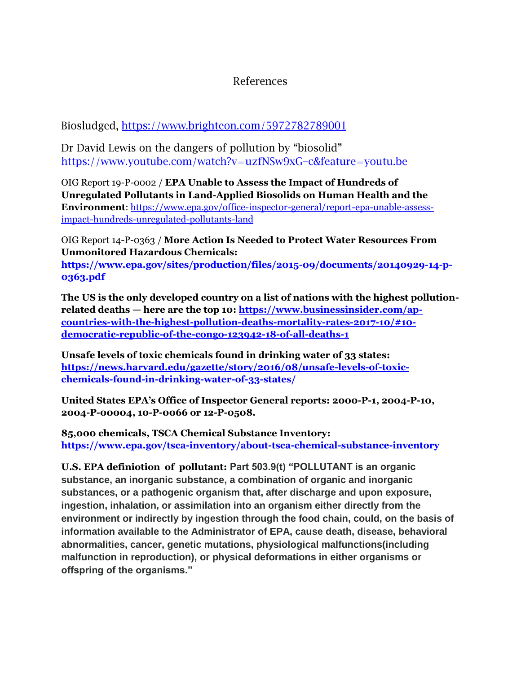### References

Biosludged, https://www.brighteon.com/5972782789001

Dr David Lewis on the dangers of pollution by "biosolid" https://www.youtube.com/watch?v=uzfNSw9xG-c&feature=youtu.be

OIG Report 19-P-0002 / **EPA Unable to Assess the Impact of Hundreds of Unregulated Pollutants in Land-Applied Biosolids on Human Health and the Environment**: [https://www.epa.gov/office-inspector-general/report-epa-unable-assess](https://www.epa.gov/office-inspector-general/report-epa-unable-assess-impact-hundreds-unregulated-pollutants-land)[impact-hundreds-unregulated-pollutants-land](https://www.epa.gov/office-inspector-general/report-epa-unable-assess-impact-hundreds-unregulated-pollutants-land)

OIG Report 14-P-0363 / **More Action Is Needed to Protect Water Resources From Unmonitored Hazardous Chemicals: [https://www.epa.gov/sites/production/files/2015-09/documents/20140929-14-p-](https://www.epa.gov/sites/production/files/2015-09/documents/20140929-14-p-0363.pdf)[0363.pdf](https://www.epa.gov/sites/production/files/2015-09/documents/20140929-14-p-0363.pdf)**

**The US is the only developed country on a list of nations with the highest pollutionrelated deaths — here are the top 10[: https://www.businessinsider.com/ap](https://www.businessinsider.com/ap-countries-with-the-highest-pollution-deaths-mortality-rates-2017-10/#10-democratic-republic-of-the-congo-123942-18-of-all-deaths-1)[countries-with-the-highest-pollution-deaths-mortality-rates-2017-10/#10](https://www.businessinsider.com/ap-countries-with-the-highest-pollution-deaths-mortality-rates-2017-10/#10-democratic-republic-of-the-congo-123942-18-of-all-deaths-1) [democratic-republic-of-the-congo-123942-18-of-all-deaths-1](https://www.businessinsider.com/ap-countries-with-the-highest-pollution-deaths-mortality-rates-2017-10/#10-democratic-republic-of-the-congo-123942-18-of-all-deaths-1)**

**Unsafe levels of toxic chemicals found in drinking water of 33 states: [https://news.harvard.edu/gazette/story/2016/08/unsafe-levels-of-toxic](https://news.harvard.edu/gazette/story/2016/08/unsafe-levels-of-toxic-chemicals-found-in-drinking-water-of-33-states/)[chemicals-found-in-drinking-water-of-33-states/](https://news.harvard.edu/gazette/story/2016/08/unsafe-levels-of-toxic-chemicals-found-in-drinking-water-of-33-states/)**

**United States EPA's Office of Inspector General reports: 2000-P-1, 2004-P-10, 2004-P-00004, 10-P-0066 or 12-P-0508.** 

**85,000 chemicals, TSCA Chemical Substance Inventory: <https://www.epa.gov/tsca-inventory/about-tsca-chemical-substance-inventory>**

**U.S. EPA definiotion of pollutant: Part 503.9(t) "POLLUTANT is an organic substance, an inorganic substance, a combination of organic and inorganic substances, or a pathogenic organism that, after discharge and upon exposure, ingestion, inhalation, or assimilation into an organism either directly from the environment or indirectly by ingestion through the food chain, could, on the basis of information available to the Administrator of EPA, cause death, disease, behavioral abnormalities, cancer, genetic mutations, physiological malfunctions(including malfunction in reproduction), or physical deformations in either organisms or offspring of the organisms."**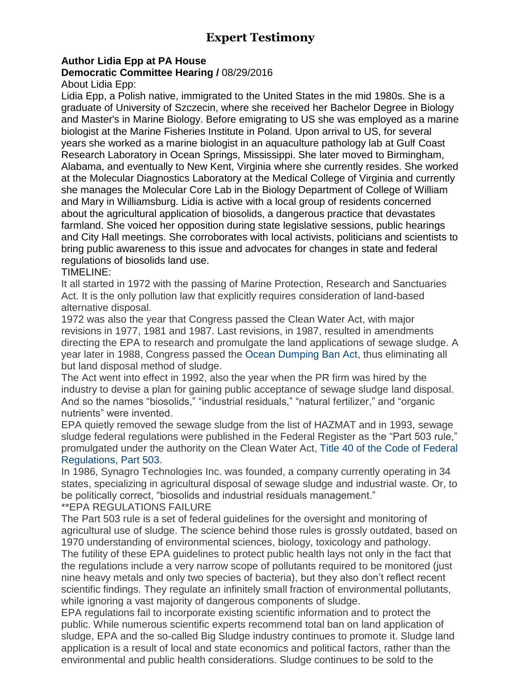# **Expert Testimony**

#### **Author Lidia Epp at PA House Democratic Committee Hearing /** 08/29/2016

About Lidia Epp:

Lidia Epp, a Polish native, immigrated to the United States in the mid 1980s. She is a graduate of University of Szczecin, where she received her Bachelor Degree in Biology and Master's in Marine Biology. Before emigrating to US she was employed as a marine biologist at the Marine Fisheries Institute in Poland. Upon arrival to US, for several years she worked as a marine biologist in an aquaculture pathology lab at Gulf Coast Research Laboratory in Ocean Springs, Mississippi. She later moved to Birmingham, Alabama, and eventually to New Kent, Virginia where she currently resides. She worked at the Molecular Diagnostics Laboratory at the Medical College of Virginia and currently she manages the Molecular Core Lab in the Biology Department of College of William and Mary in Williamsburg. Lidia is active with a local group of residents concerned about the agricultural application of biosolids, a dangerous practice that devastates farmland. She voiced her opposition during state legislative sessions, public hearings and City Hall meetings. She corroborates with local activists, politicians and scientists to bring public awareness to this issue and advocates for changes in state and federal regulations of biosolids land use.

#### TIMELINE:

It all started in 1972 with the passing of Marine Protection, Research and Sanctuaries Act. It is the only pollution law that explicitly requires consideration of land-based alternative disposal.

1972 was also the year that Congress passed the Clean Water Act, with major revisions in 1977, 1981 and 1987. Last revisions, in 1987, resulted in amendments directing the EPA to research and promulgate the land applications of sewage sludge. A year later in 1988, Congress passed the Ocean Dumping Ban Act, thus eliminating all but land disposal method of sludge.

The Act went into effect in 1992, also the year when the PR firm was hired by the industry to devise a plan for gaining public acceptance of sewage sludge land disposal. And so the names "biosolids," "industrial residuals," "natural fertilizer," and "organic nutrients" were invented.

EPA quietly removed the sewage sludge from the list of HAZMAT and in 1993, sewage sludge federal regulations were published in the Federal Register as the "Part 503 rule," promulgated under the authority on the Clean Water Act, Title 40 of the Code of Federal Regulations, Part 503.

### In 1986, Synagro Technologies Inc. was founded, a company currently operating in 34 states, specializing in agricultural disposal of sewage sludge and industrial waste. Or, to be politically correct, "biosolids and industrial residuals management."

#### \*\*EPA REGULATIONS FAILURE

The Part 503 rule is a set of federal guidelines for the oversight and monitoring of agricultural use of sludge. The science behind those rules is grossly outdated, based on 1970 understanding of environmental sciences, biology, toxicology and pathology.

The futility of these EPA guidelines to protect public health lays not only in the fact that the regulations include a very narrow scope of pollutants required to be monitored (just nine heavy metals and only two species of bacteria), but they also don't reflect recent scientific findings. They regulate an infinitely small fraction of environmental pollutants, while ignoring a vast majority of dangerous components of sludge.

EPA regulations fail to incorporate existing scientific information and to protect the public. While numerous scientific experts recommend total ban on land application of sludge, EPA and the so-called Big Sludge industry continues to promote it. Sludge land application is a result of local and state economics and political factors, rather than the environmental and public health considerations. Sludge continues to be sold to the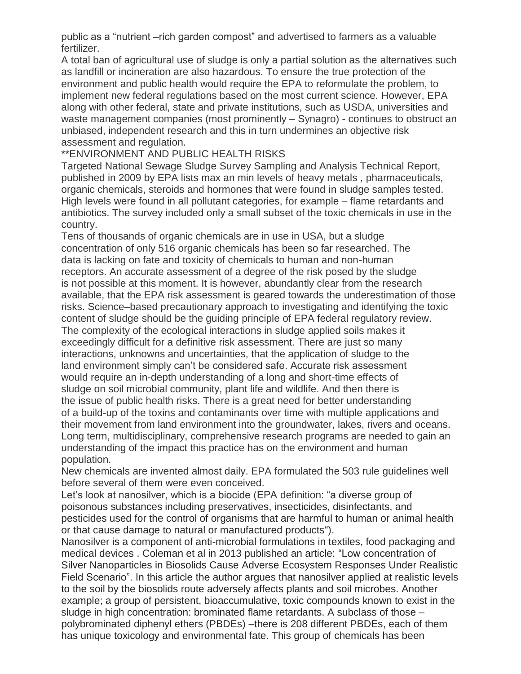public as a "nutrient –rich garden compost" and advertised to farmers as a valuable fertilizer.

A total ban of agricultural use of sludge is only a partial solution as the alternatives such as landfill or incineration are also hazardous. To ensure the true protection of the environment and public health would require the EPA to reformulate the problem, to implement new federal regulations based on the most current science. However, EPA along with other federal, state and private institutions, such as USDA, universities and waste management companies (most prominently – Synagro) - continues to obstruct an unbiased, independent research and this in turn undermines an objective risk assessment and regulation.

\*\*ENVIRONMENT AND PUBLIC HEALTH RISKS

Targeted National Sewage Sludge Survey Sampling and Analysis Technical Report, published in 2009 by EPA lists max an min levels of heavy metals , pharmaceuticals, organic chemicals, steroids and hormones that were found in sludge samples tested. High levels were found in all pollutant categories, for example – flame retardants and antibiotics. The survey included only a small subset of the toxic chemicals in use in the country.

Tens of thousands of organic chemicals are in use in USA, but a sludge concentration of only 516 organic chemicals has been so far researched. The data is lacking on fate and toxicity of chemicals to human and non-human receptors. An accurate assessment of a degree of the risk posed by the sludge is not possible at this moment. It is however, abundantly clear from the research available, that the EPA risk assessment is geared towards the underestimation of those risks. Science–based precautionary approach to investigating and identifying the toxic content of sludge should be the guiding principle of EPA federal regulatory review. The complexity of the ecological interactions in sludge applied soils makes it exceedingly difficult for a definitive risk assessment. There are just so many interactions, unknowns and uncertainties, that the application of sludge to the land environment simply can't be considered safe. Accurate risk assessment would require an in-depth understanding of a long and short-time effects of sludge on soil microbial community, plant life and wildlife. And then there is the issue of public health risks. There is a great need for better understanding of a build-up of the toxins and contaminants over time with multiple applications and their movement from land environment into the groundwater, lakes, rivers and oceans. Long term, multidisciplinary, comprehensive research programs are needed to gain an understanding of the impact this practice has on the environment and human population.

New chemicals are invented almost daily. EPA formulated the 503 rule guidelines well before several of them were even conceived.

Let's look at nanosilver, which is a biocide (EPA definition: "a diverse group of poisonous substances including preservatives, insecticides, disinfectants, and pesticides used for the control of organisms that are harmful to human or animal health or that cause damage to natural or manufactured products").

Nanosilver is a component of anti-microbial formulations in textiles, food packaging and medical devices . Coleman et al in 2013 published an article: "Low concentration of Silver Nanoparticles in Biosolids Cause Adverse Ecosystem Responses Under Realistic Field Scenario". In this article the author argues that nanosilver applied at realistic levels to the soil by the biosolids route adversely affects plants and soil microbes. Another example; a group of persistent, bioaccumulative, toxic compounds known to exist in the sludge in high concentration: brominated flame retardants. A subclass of those – polybrominated diphenyl ethers (PBDEs) –there is 208 different PBDEs, each of them has unique toxicology and environmental fate. This group of chemicals has been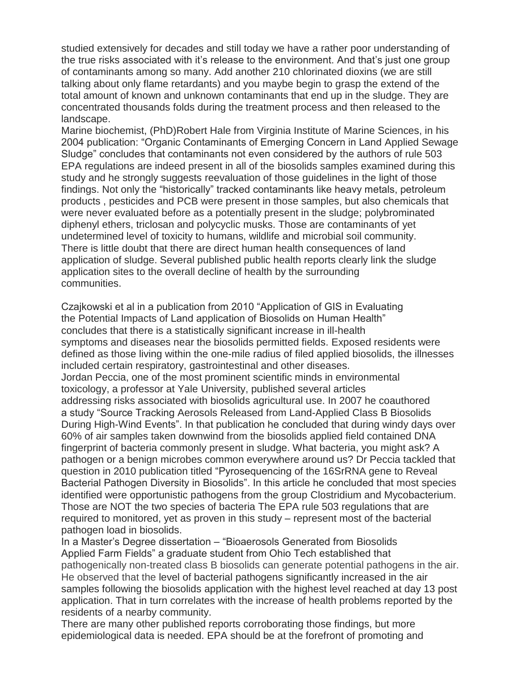studied extensively for decades and still today we have a rather poor understanding of the true risks associated with it's release to the environment. And that's just one group of contaminants among so many. Add another 210 chlorinated dioxins (we are still talking about only flame retardants) and you maybe begin to grasp the extend of the total amount of known and unknown contaminants that end up in the sludge. They are concentrated thousands folds during the treatment process and then released to the landscape.

Marine biochemist, (PhD)Robert Hale from Virginia Institute of Marine Sciences, in his 2004 publication: "Organic Contaminants of Emerging Concern in Land Applied Sewage Sludge" concludes that contaminants not even considered by the authors of rule 503 EPA regulations are indeed present in all of the biosolids samples examined during this study and he strongly suggests reevaluation of those guidelines in the light of those findings. Not only the "historically" tracked contaminants like heavy metals, petroleum products , pesticides and PCB were present in those samples, but also chemicals that were never evaluated before as a potentially present in the sludge; polybrominated diphenyl ethers, triclosan and polycyclic musks. Those are contaminants of yet undetermined level of toxicity to humans, wildlife and microbial soil community. There is little doubt that there are direct human health consequences of land application of sludge. Several published public health reports clearly link the sludge application sites to the overall decline of health by the surrounding communities.

Czajkowski et al in a publication from 2010 "Application of GIS in Evaluating the Potential Impacts of Land application of Biosolids on Human Health" concludes that there is a statistically significant increase in ill-health symptoms and diseases near the biosolids permitted fields. Exposed residents were defined as those living within the one-mile radius of filed applied biosolids, the illnesses included certain respiratory, gastrointestinal and other diseases. Jordan Peccia, one of the most prominent scientific minds in environmental toxicology, a professor at Yale University, published several articles addressing risks associated with biosolids agricultural use. In 2007 he coauthored a study "Source Tracking Aerosols Released from Land-Applied Class B Biosolids During High-Wind Events". In that publication he concluded that during windy days over 60% of air samples taken downwind from the biosolids applied field contained DNA fingerprint of bacteria commonly present in sludge. What bacteria, you might ask? A pathogen or a benign microbes common everywhere around us? Dr Peccia tackled that question in 2010 publication titled "Pyrosequencing of the 16SrRNA gene to Reveal Bacterial Pathogen Diversity in Biosolids". In this article he concluded that most species identified were opportunistic pathogens from the group Clostridium and Mycobacterium. Those are NOT the two species of bacteria The EPA rule 503 regulations that are required to monitored, yet as proven in this study – represent most of the bacterial pathogen load in biosolids.

In a Master's Degree dissertation – "Bioaerosols Generated from Biosolids Applied Farm Fields" a graduate student from Ohio Tech established that pathogenically non-treated class B biosolids can generate potential pathogens in the air. He observed that the level of bacterial pathogens significantly increased in the air samples following the biosolids application with the highest level reached at day 13 post application. That in turn correlates with the increase of health problems reported by the residents of a nearby community.

There are many other published reports corroborating those findings, but more epidemiological data is needed. EPA should be at the forefront of promoting and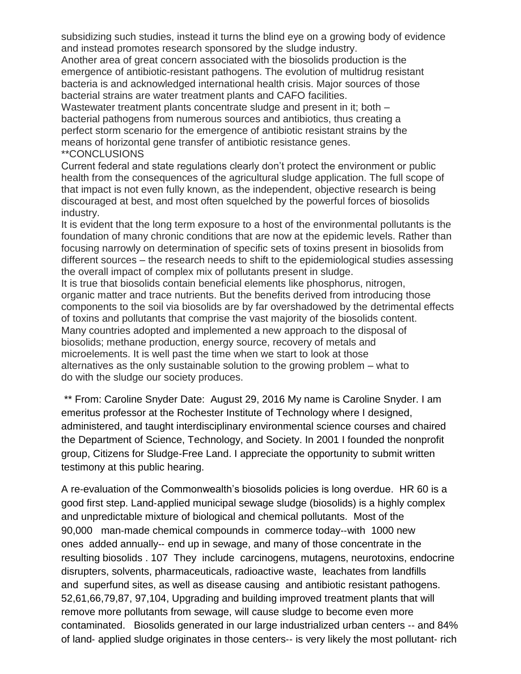subsidizing such studies, instead it turns the blind eye on a growing body of evidence and instead promotes research sponsored by the sludge industry.

Another area of great concern associated with the biosolids production is the emergence of antibiotic-resistant pathogens. The evolution of multidrug resistant bacteria is and acknowledged international health crisis. Major sources of those bacterial strains are water treatment plants and CAFO facilities.

Wastewater treatment plants concentrate sludge and present in it; both – bacterial pathogens from numerous sources and antibiotics, thus creating a perfect storm scenario for the emergence of antibiotic resistant strains by the means of horizontal gene transfer of antibiotic resistance genes. \*\*CONCLUSIONS

Current federal and state regulations clearly don't protect the environment or public health from the consequences of the agricultural sludge application. The full scope of that impact is not even fully known, as the independent, objective research is being discouraged at best, and most often squelched by the powerful forces of biosolids industry.

It is evident that the long term exposure to a host of the environmental pollutants is the foundation of many chronic conditions that are now at the epidemic levels. Rather than focusing narrowly on determination of specific sets of toxins present in biosolids from different sources – the research needs to shift to the epidemiological studies assessing the overall impact of complex mix of pollutants present in sludge.

It is true that biosolids contain beneficial elements like phosphorus, nitrogen, organic matter and trace nutrients. But the benefits derived from introducing those components to the soil via biosolids are by far overshadowed by the detrimental effects of toxins and pollutants that comprise the vast majority of the biosolids content. Many countries adopted and implemented a new approach to the disposal of biosolids; methane production, energy source, recovery of metals and microelements. It is well past the time when we start to look at those alternatives as the only sustainable solution to the growing problem – what to do with the sludge our society produces.

\*\* From: Caroline Snyder Date: August 29, 2016 My name is Caroline Snyder. I am emeritus professor at the Rochester Institute of Technology where I designed, administered, and taught interdisciplinary environmental science courses and chaired the Department of Science, Technology, and Society. In 2001 I founded the nonprofit group, Citizens for Sludge‐Free Land. I appreciate the opportunity to submit written testimony at this public hearing.

A re‐evaluation of the Commonwealth's biosolids policies is long overdue. HR 60 is a good first step. Land‐applied municipal sewage sludge (biosolids) is a highly complex and unpredictable mixture of biological and chemical pollutants. Most of the 90,000 man-made chemical compounds in commerce today--with 1000 new ones added annually‐‐ end up in sewage, and many of those concentrate in the resulting biosolids . 107 They include carcinogens, mutagens, neurotoxins, endocrine disrupters, solvents, pharmaceuticals, radioactive waste, leachates from landfills and superfund sites, as well as disease causing and antibiotic resistant pathogens. 52,61,66,79,87, 97,104, Upgrading and building improved treatment plants that will remove more pollutants from sewage, will cause sludge to become even more contaminated. Biosolids generated in our large industrialized urban centers ‐‐ and 84% of land‐ applied sludge originates in those centers‐‐ is very likely the most pollutant‐ rich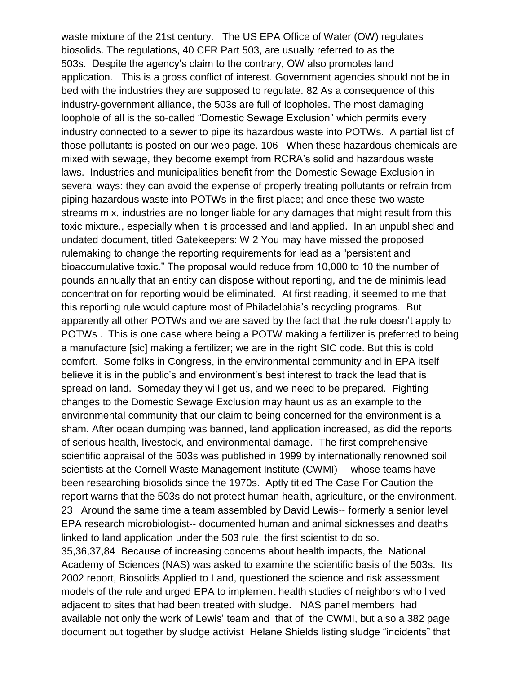waste mixture of the 21st century. The US EPA Office of Water (OW) regulates biosolids. The regulations, 40 CFR Part 503, are usually referred to as the 503s. Despite the agency's claim to the contrary, OW also promotes land application. This is a gross conflict of interest. Government agencies should not be in bed with the industries they are supposed to regulate. 82 As a consequence of this industry‐government alliance, the 503s are full of loopholes. The most damaging loophole of all is the so‐called "Domestic Sewage Exclusion" which permits every industry connected to a sewer to pipe its hazardous waste into POTWs. A partial list of those pollutants is posted on our web page. 106 When these hazardous chemicals are mixed with sewage, they become exempt from RCRA's solid and hazardous waste laws. Industries and municipalities benefit from the Domestic Sewage Exclusion in several ways: they can avoid the expense of properly treating pollutants or refrain from piping hazardous waste into POTWs in the first place; and once these two waste streams mix, industries are no longer liable for any damages that might result from this toxic mixture., especially when it is processed and land applied. In an unpublished and undated document, titled Gatekeepers: W 2 You may have missed the proposed rulemaking to change the reporting requirements for lead as a "persistent and bioaccumulative toxic." The proposal would reduce from 10,000 to 10 the number of pounds annually that an entity can dispose without reporting, and the de minimis lead concentration for reporting would be eliminated. At first reading, it seemed to me that this reporting rule would capture most of Philadelphia's recycling programs. But apparently all other POTWs and we are saved by the fact that the rule doesn't apply to POTWs . This is one case where being a POTW making a fertilizer is preferred to being a manufacture [sic] making a fertilizer; we are in the right SIC code. But this is cold comfort. Some folks in Congress, in the environmental community and in EPA itself believe it is in the public's and environment's best interest to track the lead that is spread on land. Someday they will get us, and we need to be prepared. Fighting changes to the Domestic Sewage Exclusion may haunt us as an example to the environmental community that our claim to being concerned for the environment is a sham. After ocean dumping was banned, land application increased, as did the reports of serious health, livestock, and environmental damage. The first comprehensive scientific appraisal of the 503s was published in 1999 by internationally renowned soil scientists at the Cornell Waste Management Institute (CWMI) —whose teams have been researching biosolids since the 1970s. Aptly titled The Case For Caution the report warns that the 503s do not protect human health, agriculture, or the environment. 23 Around the same time a team assembled by David Lewis-- formerly a senior level EPA research microbiologist‐‐ documented human and animal sicknesses and deaths linked to land application under the 503 rule, the first scientist to do so. 35,36,37,84 Because of increasing concerns about health impacts, the National Academy of Sciences (NAS) was asked to examine the scientific basis of the 503s. Its 2002 report, Biosolids Applied to Land, questioned the science and risk assessment models of the rule and urged EPA to implement health studies of neighbors who lived adjacent to sites that had been treated with sludge. NAS panel members had available not only the work of Lewis' team and that of the CWMI, but also a 382 page

document put together by sludge activist Helane Shields listing sludge "incidents" that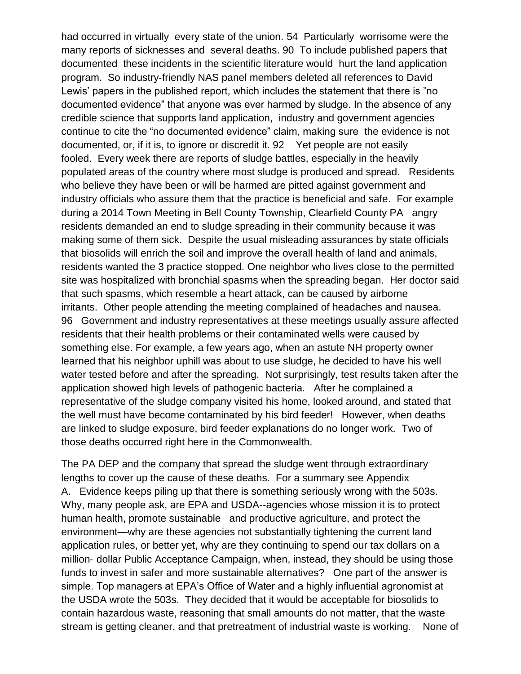had occurred in virtually every state of the union. 54 Particularly worrisome were the many reports of sicknesses and several deaths. 90 To include published papers that documented these incidents in the scientific literature would hurt the land application program. So industry‐friendly NAS panel members deleted all references to David Lewis' papers in the published report, which includes the statement that there is "no documented evidence" that anyone was ever harmed by sludge. In the absence of any credible science that supports land application, industry and government agencies continue to cite the "no documented evidence" claim, making sure the evidence is not documented, or, if it is, to ignore or discredit it. 92 Yet people are not easily fooled. Every week there are reports of sludge battles, especially in the heavily populated areas of the country where most sludge is produced and spread. Residents who believe they have been or will be harmed are pitted against government and industry officials who assure them that the practice is beneficial and safe. For example during a 2014 Town Meeting in Bell County Township, Clearfield County PA angry residents demanded an end to sludge spreading in their community because it was making some of them sick. Despite the usual misleading assurances by state officials that biosolids will enrich the soil and improve the overall health of land and animals, residents wanted the 3 practice stopped. One neighbor who lives close to the permitted site was hospitalized with bronchial spasms when the spreading began. Her doctor said that such spasms, which resemble a heart attack, can be caused by airborne irritants. Other people attending the meeting complained of headaches and nausea. 96 Government and industry representatives at these meetings usually assure affected residents that their health problems or their contaminated wells were caused by something else. For example, a few years ago, when an astute NH property owner learned that his neighbor uphill was about to use sludge, he decided to have his well water tested before and after the spreading. Not surprisingly, test results taken after the application showed high levels of pathogenic bacteria. After he complained a representative of the sludge company visited his home, looked around, and stated that the well must have become contaminated by his bird feeder! However, when deaths are linked to sludge exposure, bird feeder explanations do no longer work. Two of those deaths occurred right here in the Commonwealth.

The PA DEP and the company that spread the sludge went through extraordinary lengths to cover up the cause of these deaths. For a summary see Appendix A. Evidence keeps piling up that there is something seriously wrong with the 503s. Why, many people ask, are EPA and USDA--agencies whose mission it is to protect human health, promote sustainable and productive agriculture, and protect the environment—why are these agencies not substantially tightening the current land application rules, or better yet, why are they continuing to spend our tax dollars on a million- dollar Public Acceptance Campaign, when, instead, they should be using those funds to invest in safer and more sustainable alternatives? One part of the answer is simple. Top managers at EPA's Office of Water and a highly influential agronomist at the USDA wrote the 503s. They decided that it would be acceptable for biosolids to contain hazardous waste, reasoning that small amounts do not matter, that the waste stream is getting cleaner, and that pretreatment of industrial waste is working. None of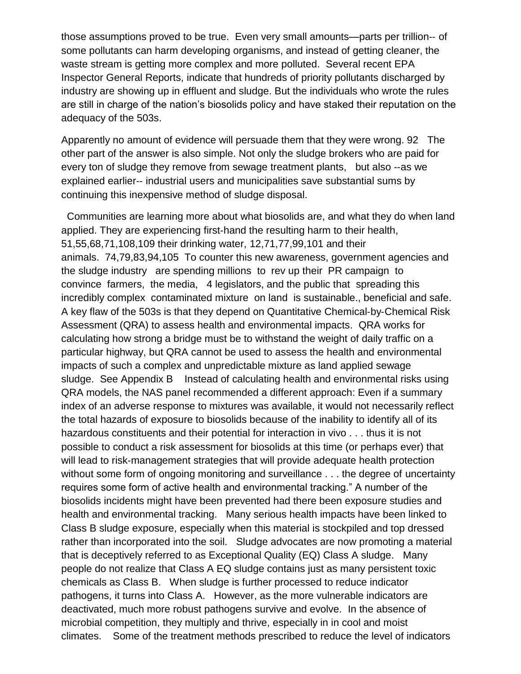those assumptions proved to be true. Even very small amounts—parts per trillion‐‐ of some pollutants can harm developing organisms, and instead of getting cleaner, the waste stream is getting more complex and more polluted. Several recent EPA Inspector General Reports, indicate that hundreds of priority pollutants discharged by industry are showing up in effluent and sludge. But the individuals who wrote the rules are still in charge of the nation's biosolids policy and have staked their reputation on the adequacy of the 503s.

Apparently no amount of evidence will persuade them that they were wrong. 92 The other part of the answer is also simple. Not only the sludge brokers who are paid for every ton of sludge they remove from sewage treatment plants, but also ‐‐as we explained earlier-- industrial users and municipalities save substantial sums by continuing this inexpensive method of sludge disposal.

Communities are learning more about what biosolids are, and what they do when land applied. They are experiencing first-hand the resulting harm to their health, 51,55,68,71,108,109 their drinking water, 12,71,77,99,101 and their animals. 74,79,83,94,105 To counter this new awareness, government agencies and the sludge industry are spending millions to rev up their PR campaign to convince farmers, the media, 4 legislators, and the public that spreading this incredibly complex contaminated mixture on land is sustainable., beneficial and safe. A key flaw of the 503s is that they depend on Quantitative Chemical‐by‐Chemical Risk Assessment (QRA) to assess health and environmental impacts. QRA works for calculating how strong a bridge must be to withstand the weight of daily traffic on a particular highway, but QRA cannot be used to assess the health and environmental impacts of such a complex and unpredictable mixture as land applied sewage sludge. See Appendix B Instead of calculating health and environmental risks using QRA models, the NAS panel recommended a different approach: Even if a summary index of an adverse response to mixtures was available, it would not necessarily reflect the total hazards of exposure to biosolids because of the inability to identify all of its hazardous constituents and their potential for interaction in vivo . . . thus it is not possible to conduct a risk assessment for biosolids at this time (or perhaps ever) that will lead to risk-management strategies that will provide adequate health protection without some form of ongoing monitoring and surveillance . . . the degree of uncertainty requires some form of active health and environmental tracking." A number of the biosolids incidents might have been prevented had there been exposure studies and health and environmental tracking. Many serious health impacts have been linked to Class B sludge exposure, especially when this material is stockpiled and top dressed rather than incorporated into the soil. Sludge advocates are now promoting a material that is deceptively referred to as Exceptional Quality (EQ) Class A sludge. Many people do not realize that Class A EQ sludge contains just as many persistent toxic chemicals as Class B. When sludge is further processed to reduce indicator pathogens, it turns into Class A. However, as the more vulnerable indicators are deactivated, much more robust pathogens survive and evolve. In the absence of microbial competition, they multiply and thrive, especially in in cool and moist climates. Some of the treatment methods prescribed to reduce the level of indicators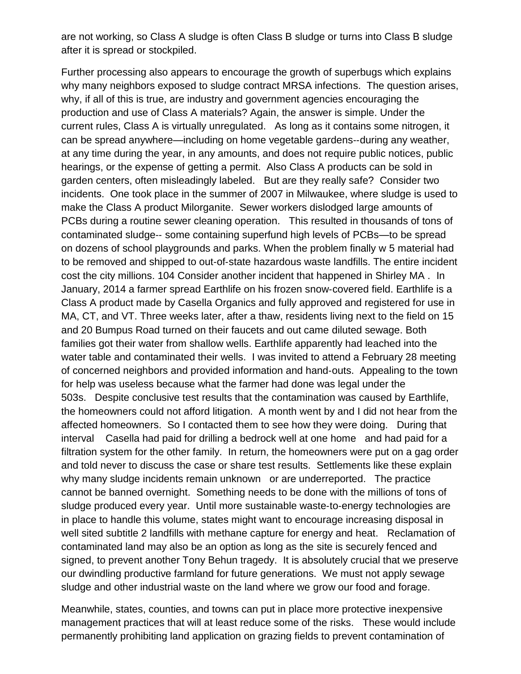are not working, so Class A sludge is often Class B sludge or turns into Class B sludge after it is spread or stockpiled.

Further processing also appears to encourage the growth of superbugs which explains why many neighbors exposed to sludge contract MRSA infections. The question arises, why, if all of this is true, are industry and government agencies encouraging the production and use of Class A materials? Again, the answer is simple. Under the current rules, Class A is virtually unregulated. As long as it contains some nitrogen, it can be spread anywhere—including on home vegetable gardens‐‐during any weather, at any time during the year, in any amounts, and does not require public notices, public hearings, or the expense of getting a permit. Also Class A products can be sold in garden centers, often misleadingly labeled. But are they really safe? Consider two incidents. One took place in the summer of 2007 in Milwaukee, where sludge is used to make the Class A product Milorganite. Sewer workers dislodged large amounts of PCBs during a routine sewer cleaning operation. This resulted in thousands of tons of contaminated sludge‐‐ some containing superfund high levels of PCBs—to be spread on dozens of school playgrounds and parks. When the problem finally w 5 material had to be removed and shipped to out‐of‐state hazardous waste landfills. The entire incident cost the city millions. 104 Consider another incident that happened in Shirley MA . In January, 2014 a farmer spread Earthlife on his frozen snow‐covered field. Earthlife is a Class A product made by Casella Organics and fully approved and registered for use in MA, CT, and VT. Three weeks later, after a thaw, residents living next to the field on 15 and 20 Bumpus Road turned on their faucets and out came diluted sewage. Both families got their water from shallow wells. Earthlife apparently had leached into the water table and contaminated their wells. I was invited to attend a February 28 meeting of concerned neighbors and provided information and hand‐outs. Appealing to the town for help was useless because what the farmer had done was legal under the 503s. Despite conclusive test results that the contamination was caused by Earthlife, the homeowners could not afford litigation. A month went by and I did not hear from the affected homeowners. So I contacted them to see how they were doing. During that interval Casella had paid for drilling a bedrock well at one home and had paid for a filtration system for the other family. In return, the homeowners were put on a gag order and told never to discuss the case or share test results. Settlements like these explain why many sludge incidents remain unknown or are underreported. The practice cannot be banned overnight. Something needs to be done with the millions of tons of sludge produced every year. Until more sustainable waste‐to‐energy technologies are in place to handle this volume, states might want to encourage increasing disposal in well sited subtitle 2 landfills with methane capture for energy and heat. Reclamation of contaminated land may also be an option as long as the site is securely fenced and signed, to prevent another Tony Behun tragedy. It is absolutely crucial that we preserve our dwindling productive farmland for future generations. We must not apply sewage sludge and other industrial waste on the land where we grow our food and forage.

Meanwhile, states, counties, and towns can put in place more protective inexpensive management practices that will at least reduce some of the risks. These would include permanently prohibiting land application on grazing fields to prevent contamination of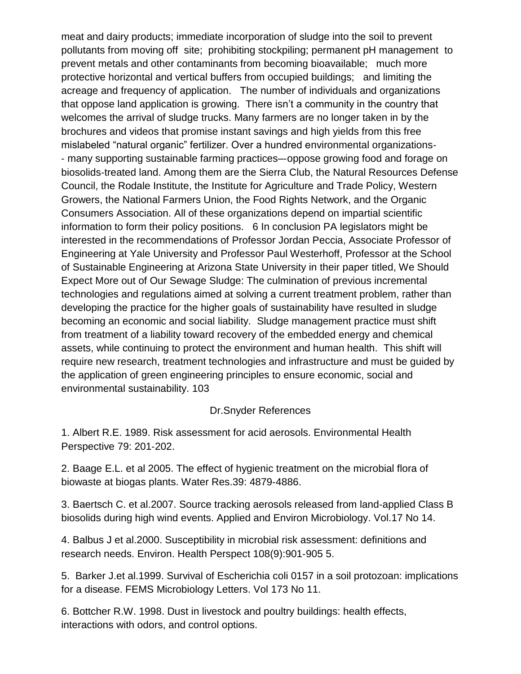meat and dairy products; immediate incorporation of sludge into the soil to prevent pollutants from moving off site; prohibiting stockpiling; permanent pH management to prevent metals and other contaminants from becoming bioavailable; much more protective horizontal and vertical buffers from occupied buildings; and limiting the acreage and frequency of application. The number of individuals and organizations that oppose land application is growing. There isn't a community in the country that welcomes the arrival of sludge trucks. Many farmers are no longer taken in by the brochures and videos that promise instant savings and high yields from this free mislabeled "natural organic" fertilizer. Over a hundred environmental organizations‐ ‐ many supporting sustainable farming practices–‐oppose growing food and forage on biosolids‐treated land. Among them are the Sierra Club, the Natural Resources Defense Council, the Rodale Institute, the Institute for Agriculture and Trade Policy, Western Growers, the National Farmers Union, the Food Rights Network, and the Organic Consumers Association. All of these organizations depend on impartial scientific information to form their policy positions. 6 In conclusion PA legislators might be interested in the recommendations of Professor Jordan Peccia, Associate Professor of Engineering at Yale University and Professor Paul Westerhoff, Professor at the School of Sustainable Engineering at Arizona State University in their paper titled, We Should Expect More out of Our Sewage Sludge: The culmination of previous incremental technologies and regulations aimed at solving a current treatment problem, rather than developing the practice for the higher goals of sustainability have resulted in sludge becoming an economic and social liability. Sludge management practice must shift from treatment of a liability toward recovery of the embedded energy and chemical assets, while continuing to protect the environment and human health. This shift will require new research, treatment technologies and infrastructure and must be guided by the application of green engineering principles to ensure economic, social and environmental sustainability. 103

#### Dr.Snyder References

1. Albert R.E. 1989. Risk assessment for acid aerosols. Environmental Health Perspective 79: 201‐202.

2. Baage E.L. et al 2005. The effect of hygienic treatment on the microbial flora of biowaste at biogas plants. Water Res.39: 4879‐4886.

3. Baertsch C. et al.2007. Source tracking aerosols released from land‐applied Class B biosolids during high wind events. Applied and Environ Microbiology. Vol.17 No 14.

4. Balbus J et al.2000. Susceptibility in microbial risk assessment: definitions and research needs. Environ. Health Perspect 108(9):901‐905 5.

5. Barker J.et al.1999. Survival of Escherichia coli 0157 in a soil protozoan: implications for a disease. FEMS Microbiology Letters. Vol 173 No 11.

6. Bottcher R.W. 1998. Dust in livestock and poultry buildings: health effects, interactions with odors, and control options.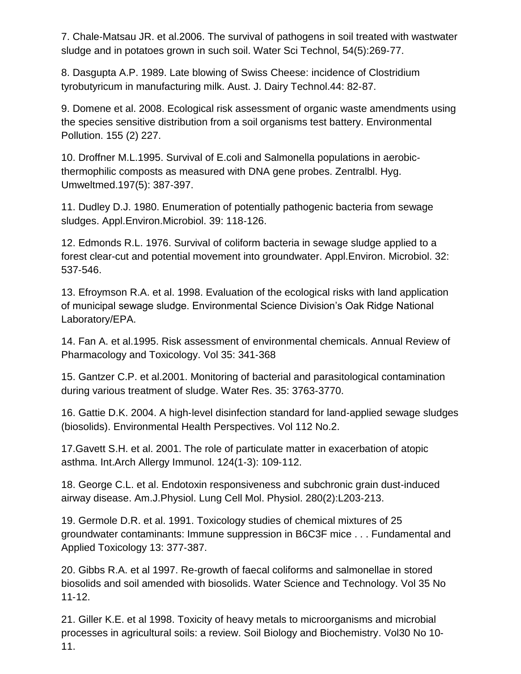7. Chale‐Matsau JR. et al.2006. The survival of pathogens in soil treated with wastwater sludge and in potatoes grown in such soil. Water Sci Technol, 54(5):269‐77.

8. Dasgupta A.P. 1989. Late blowing of Swiss Cheese: incidence of Clostridium tyrobutyricum in manufacturing milk. Aust. J. Dairy Technol.44: 82‐87.

9. Domene et al. 2008. Ecological risk assessment of organic waste amendments using the species sensitive distribution from a soil organisms test battery. Environmental Pollution. 155 (2) 227.

10. Droffner M.L.1995. Survival of E.coli and Salmonella populations in aerobic‐ thermophilic composts as measured with DNA gene probes. Zentralbl. Hyg. Umweltmed.197(5): 387‐397.

11. Dudley D.J. 1980. Enumeration of potentially pathogenic bacteria from sewage sludges. Appl.Environ.Microbiol. 39: 118‐126.

12. Edmonds R.L. 1976. Survival of coliform bacteria in sewage sludge applied to a forest clear-cut and potential movement into groundwater. Appl.Environ. Microbiol. 32: 537‐546.

13. Efroymson R.A. et al. 1998. Evaluation of the ecological risks with land application of municipal sewage sludge. Environmental Science Division's Oak Ridge National Laboratory/EPA.

14. Fan A. et al.1995. Risk assessment of environmental chemicals. Annual Review of Pharmacology and Toxicology. Vol 35: 341‐368

15. Gantzer C.P. et al.2001. Monitoring of bacterial and parasitological contamination during various treatment of sludge. Water Res. 35: 3763‐3770.

16. Gattie D.K. 2004. A high‐level disinfection standard for land‐applied sewage sludges (biosolids). Environmental Health Perspectives. Vol 112 No.2.

17.Gavett S.H. et al. 2001. The role of particulate matter in exacerbation of atopic asthma. Int.Arch Allergy Immunol. 124(1‐3): 109‐112.

18. George C.L. et al. Endotoxin responsiveness and subchronic grain dust‐induced airway disease. Am.J.Physiol. Lung Cell Mol. Physiol. 280(2):L203‐213.

19. Germole D.R. et al. 1991. Toxicology studies of chemical mixtures of 25 groundwater contaminants: Immune suppression in B6C3F mice . . . Fundamental and Applied Toxicology 13: 377‐387.

20. Gibbs R.A. et al 1997. Re‐growth of faecal coliforms and salmonellae in stored biosolids and soil amended with biosolids. Water Science and Technology. Vol 35 No 11‐12.

21. Giller K.E. et al 1998. Toxicity of heavy metals to microorganisms and microbial processes in agricultural soils: a review. Soil Biology and Biochemistry. Vol30 No 10‐ 11.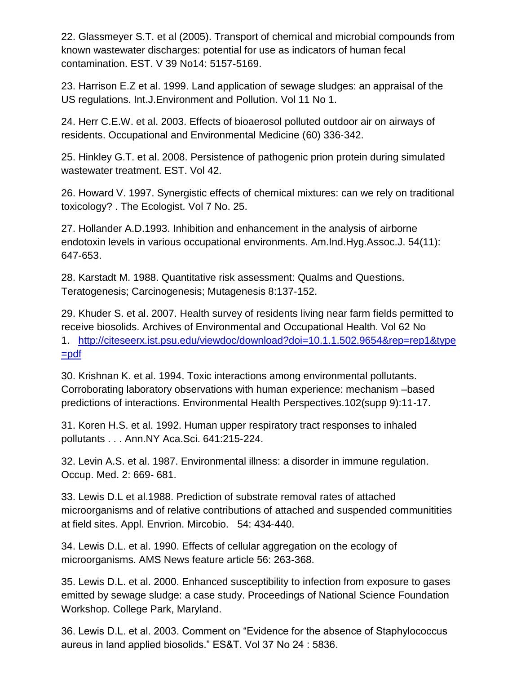22. Glassmeyer S.T. et al (2005). Transport of chemical and microbial compounds from known wastewater discharges: potential for use as indicators of human fecal contamination. EST. V 39 No14: 5157‐5169.

23. Harrison E.Z et al. 1999. Land application of sewage sludges: an appraisal of the US regulations. Int.J.Environment and Pollution. Vol 11 No 1.

24. Herr C.E.W. et al. 2003. Effects of bioaerosol polluted outdoor air on airways of residents. Occupational and Environmental Medicine (60) 336‐342.

25. Hinkley G.T. et al. 2008. Persistence of pathogenic prion protein during simulated wastewater treatment. EST. Vol 42.

26. Howard V. 1997. Synergistic effects of chemical mixtures: can we rely on traditional toxicology? . The Ecologist. Vol 7 No. 25.

27. Hollander A.D.1993. Inhibition and enhancement in the analysis of airborne endotoxin levels in various occupational environments. Am.Ind.Hyg.Assoc.J. 54(11): 647‐653.

28. Karstadt M. 1988. Quantitative risk assessment: Qualms and Questions. Teratogenesis; Carcinogenesis; Mutagenesis 8:137‐152.

29. Khuder S. et al. 2007. Health survey of residents living near farm fields permitted to receive biosolids. Archives of Environmental and Occupational Health. Vol 62 No 1. [http://citeseerx.ist.psu.edu/viewdoc/download?doi=10.1.1.502.9654&rep=rep1&type](http://citeseerx.ist.psu.edu/viewdoc/download?doi=10.1.1.502.9654&rep=rep1&type=pdf) [=pdf](http://citeseerx.ist.psu.edu/viewdoc/download?doi=10.1.1.502.9654&rep=rep1&type=pdf)

30. Krishnan K. et al. 1994. Toxic interactions among environmental pollutants. Corroborating laboratory observations with human experience: mechanism –based predictions of interactions. Environmental Health Perspectives.102(supp 9):11‐17.

31. Koren H.S. et al. 1992. Human upper respiratory tract responses to inhaled pollutants . . . Ann.NY Aca.Sci. 641:215‐224.

32. Levin A.S. et al. 1987. Environmental illness: a disorder in immune regulation. Occup. Med. 2: 669‐ 681.

33. Lewis D.L et al.1988. Prediction of substrate removal rates of attached microorganisms and of relative contributions of attached and suspended communitities at field sites. Appl. Envrion. Mircobio. 54: 434‐440.

34. Lewis D.L. et al. 1990. Effects of cellular aggregation on the ecology of microorganisms. AMS News feature article 56: 263‐368.

35. Lewis D.L. et al. 2000. Enhanced susceptibility to infection from exposure to gases emitted by sewage sludge: a case study. Proceedings of National Science Foundation Workshop. College Park, Maryland.

36. Lewis D.L. et al. 2003. Comment on "Evidence for the absence of Staphylococcus aureus in land applied biosolids." ES&T. Vol 37 No 24 : 5836.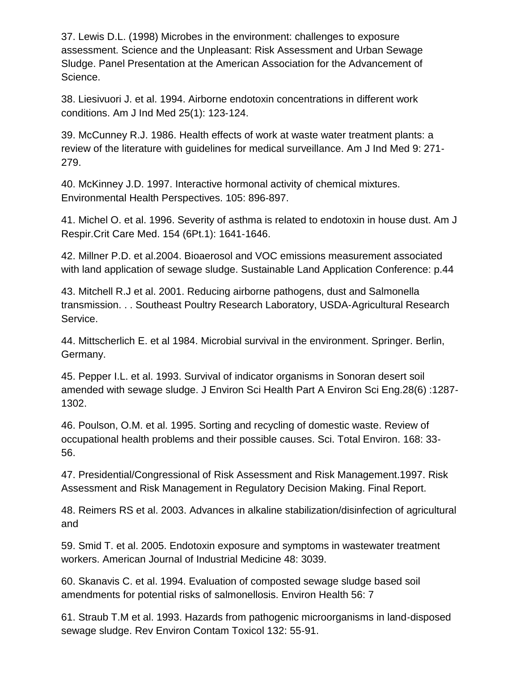37. Lewis D.L. (1998) Microbes in the environment: challenges to exposure assessment. Science and the Unpleasant: Risk Assessment and Urban Sewage Sludge. Panel Presentation at the American Association for the Advancement of Science.

38. Liesivuori J. et al. 1994. Airborne endotoxin concentrations in different work conditions. Am J Ind Med 25(1): 123‐124.

39. McCunney R.J. 1986. Health effects of work at waste water treatment plants: a review of the literature with guidelines for medical surveillance. Am J Ind Med 9: 271‐ 279.

40. McKinney J.D. 1997. Interactive hormonal activity of chemical mixtures. Environmental Health Perspectives. 105: 896‐897.

41. Michel O. et al. 1996. Severity of asthma is related to endotoxin in house dust. Am J Respir.Crit Care Med. 154 (6Pt.1): 1641‐1646.

42. Millner P.D. et al.2004. Bioaerosol and VOC emissions measurement associated with land application of sewage sludge. Sustainable Land Application Conference: p.44

43. Mitchell R.J et al. 2001. Reducing airborne pathogens, dust and Salmonella transmission. . . Southeast Poultry Research Laboratory, USDA‐Agricultural Research Service.

44. Mittscherlich E. et al 1984. Microbial survival in the environment. Springer. Berlin, Germany.

45. Pepper I.L. et al. 1993. Survival of indicator organisms in Sonoran desert soil amended with sewage sludge. J Environ Sci Health Part A Environ Sci Eng.28(6) :1287‐ 1302.

46. Poulson, O.M. et al. 1995. Sorting and recycling of domestic waste. Review of occupational health problems and their possible causes. Sci. Total Environ. 168: 33‐ 56.

47. Presidential/Congressional of Risk Assessment and Risk Management.1997. Risk Assessment and Risk Management in Regulatory Decision Making. Final Report.

48. Reimers RS et al. 2003. Advances in alkaline stabilization/disinfection of agricultural and

59. Smid T. et al. 2005. Endotoxin exposure and symptoms in wastewater treatment workers. American Journal of Industrial Medicine 48: 3039.

60. Skanavis C. et al. 1994. Evaluation of composted sewage sludge based soil amendments for potential risks of salmonellosis. Environ Health 56: 7

61. Straub T.M et al. 1993. Hazards from pathogenic microorganisms in land‐disposed sewage sludge. Rev Environ Contam Toxicol 132: 55‐91.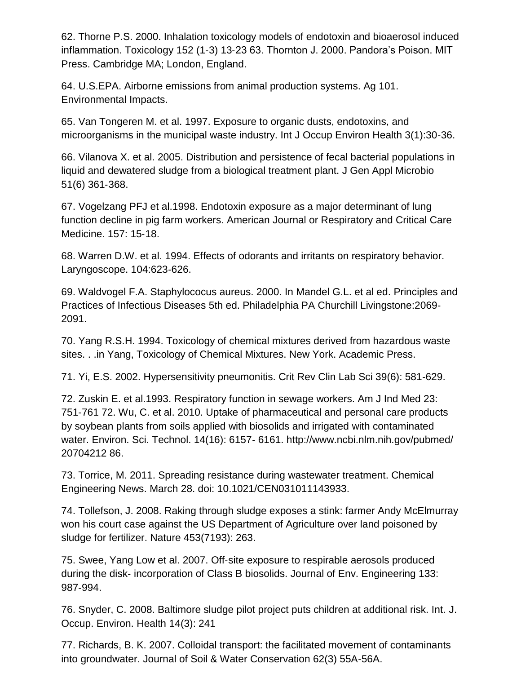62. Thorne P.S. 2000. Inhalation toxicology models of endotoxin and bioaerosol induced inflammation. Toxicology 152 (1‐3) 13‐23 63. Thornton J. 2000. Pandora's Poison. MIT Press. Cambridge MA; London, England.

64. U.S.EPA. Airborne emissions from animal production systems. Ag 101. Environmental Impacts.

65. Van Tongeren M. et al. 1997. Exposure to organic dusts, endotoxins, and microorganisms in the municipal waste industry. Int J Occup Environ Health 3(1):30‐36.

66. Vilanova X. et al. 2005. Distribution and persistence of fecal bacterial populations in liquid and dewatered sludge from a biological treatment plant. J Gen Appl Microbio 51(6) 361‐368.

67. Vogelzang PFJ et al.1998. Endotoxin exposure as a major determinant of lung function decline in pig farm workers. American Journal or Respiratory and Critical Care Medicine. 157: 15‐18.

68. Warren D.W. et al. 1994. Effects of odorants and irritants on respiratory behavior. Laryngoscope. 104:623‐626.

69. Waldvogel F.A. Staphylococus aureus. 2000. In Mandel G.L. et al ed. Principles and Practices of Infectious Diseases 5th ed. Philadelphia PA Churchill Livingstone:2069‐ 2091.

70. Yang R.S.H. 1994. Toxicology of chemical mixtures derived from hazardous waste sites. . .in Yang, Toxicology of Chemical Mixtures. New York. Academic Press.

71. Yi, E.S. 2002. Hypersensitivity pneumonitis. Crit Rev Clin Lab Sci 39(6): 581‐629.

72. Zuskin E. et al.1993. Respiratory function in sewage workers. Am J Ind Med 23: 751‐761 72. Wu, C. et al. 2010. Uptake of pharmaceutical and personal care products by soybean plants from soils applied with biosolids and irrigated with contaminated water. Environ. Sci. Technol. 14(16): 6157‐ 6161. http://www.ncbi.nlm.nih.gov/pubmed/ 20704212 86.

73. Torrice, M. 2011. Spreading resistance during wastewater treatment. Chemical Engineering News. March 28. doi: 10.1021/CEN031011143933.

74. Tollefson, J. 2008. Raking through sludge exposes a stink: farmer Andy McElmurray won his court case against the US Department of Agriculture over land poisoned by sludge for fertilizer. Nature 453(7193): 263.

75. Swee, Yang Low et al. 2007. Off‐site exposure to respirable aerosols produced during the disk‐ incorporation of Class B biosolids. Journal of Env. Engineering 133: 987‐994.

76. Snyder, C. 2008. Baltimore sludge pilot project puts children at additional risk. Int. J. Occup. Environ. Health 14(3): 241

77. Richards, B. K. 2007. Colloidal transport: the facilitated movement of contaminants into groundwater. Journal of Soil & Water Conservation 62(3) 55A‐56A.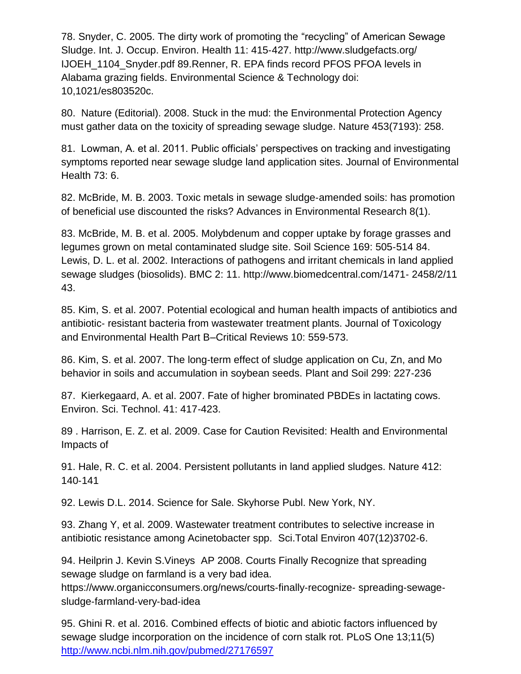78. Snyder, C. 2005. The dirty work of promoting the "recycling" of American Sewage Sludge. Int. J. Occup. Environ. Health 11: 415‐427. http://www.sludgefacts.org/ IJOEH\_1104\_Snyder.pdf 89.Renner, R. EPA finds record PFOS PFOA levels in Alabama grazing fields. Environmental Science & Technology doi: 10,1021/es803520c.

80. Nature (Editorial). 2008. Stuck in the mud: the Environmental Protection Agency must gather data on the toxicity of spreading sewage sludge. Nature 453(7193): 258.

81. Lowman, A. et al. 2011. Public officials' perspectives on tracking and investigating symptoms reported near sewage sludge land application sites. Journal of Environmental Health 73: 6.

82. McBride, M. B. 2003. Toxic metals in sewage sludge‐amended soils: has promotion of beneficial use discounted the risks? Advances in Environmental Research 8(1).

83. McBride, M. B. et al. 2005. Molybdenum and copper uptake by forage grasses and legumes grown on metal contaminated sludge site. Soil Science 169: 505‐514 84. Lewis, D. L. et al. 2002. Interactions of pathogens and irritant chemicals in land applied sewage sludges (biosolids). BMC 2: 11. http://www.biomedcentral.com/1471‐ 2458/2/11 43.

85. Kim, S. et al. 2007. Potential ecological and human health impacts of antibiotics and antibiotic‐ resistant bacteria from wastewater treatment plants. Journal of Toxicology and Environmental Health Part B–Critical Reviews 10: 559‐573.

86. Kim, S. et al. 2007. The long‐term effect of sludge application on Cu, Zn, and Mo behavior in soils and accumulation in soybean seeds. Plant and Soil 299: 227‐236

87. Kierkegaard, A. et al. 2007. Fate of higher brominated PBDEs in lactating cows. Environ. Sci. Technol. 41: 417‐423.

89 . Harrison, E. Z. et al. 2009. Case for Caution Revisited: Health and Environmental Impacts of

91. Hale, R. C. et al. 2004. Persistent pollutants in land applied sludges. Nature 412: 140‐141

92. Lewis D.L. 2014. Science for Sale. Skyhorse Publ. New York, NY.

93. Zhang Y, et al. 2009. Wastewater treatment contributes to selective increase in antibiotic resistance among Acinetobacter spp. Sci.Total Environ 407(12)3702‐6.

94. Heilprin J. Kevin S.Vineys AP 2008. Courts Finally Recognize that spreading sewage sludge on farmland is a very bad idea.

https://www.organicconsumers.org/news/courts-finally-recognize-spreading-sewagesludge‐farmland‐very‐bad‐idea

95. Ghini R. et al. 2016. Combined effects of biotic and abiotic factors influenced by sewage sludge incorporation on the incidence of corn stalk rot. PLoS One 13;11(5) <http://www.ncbi.nlm.nih.gov/pubmed/27176597>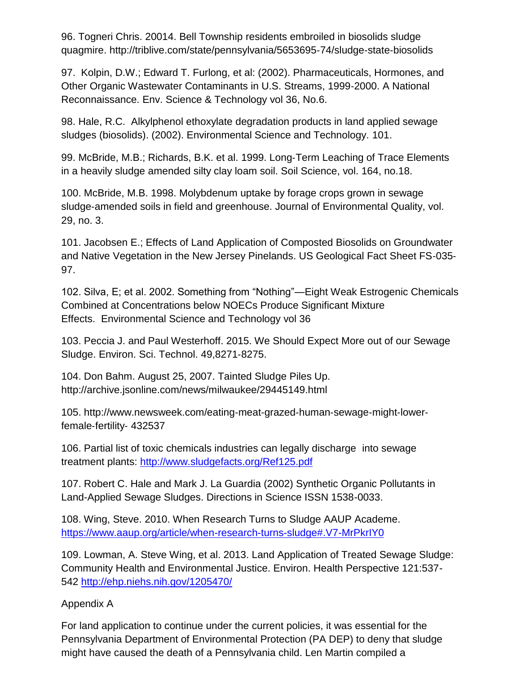96. Togneri Chris. 20014. Bell Township residents embroiled in biosolids sludge quagmire. http://triblive.com/state/pennsylvania/5653695‐74/sludge‐state‐biosolids

97. Kolpin, D.W.; Edward T. Furlong, et al: (2002). Pharmaceuticals, Hormones, and Other Organic Wastewater Contaminants in U.S. Streams, 1999‐2000. A National Reconnaissance. Env. Science & Technology vol 36, No.6.

98. Hale, R.C. Alkylphenol ethoxylate degradation products in land applied sewage sludges (biosolids). (2002). Environmental Science and Technology. 101.

99. McBride, M.B.; Richards, B.K. et al. 1999. Long‐Term Leaching of Trace Elements in a heavily sludge amended silty clay loam soil. Soil Science, vol. 164, no.18.

100. McBride, M.B. 1998. Molybdenum uptake by forage crops grown in sewage sludge-amended soils in field and greenhouse. Journal of Environmental Quality, vol. 29, no. 3.

101. Jacobsen E.; Effects of Land Application of Composted Biosolids on Groundwater and Native Vegetation in the New Jersey Pinelands. US Geological Fact Sheet FS‐035‐ 97.

102. Silva, E; et al. 2002. Something from "Nothing"—Eight Weak Estrogenic Chemicals Combined at Concentrations below NOECs Produce Significant Mixture Effects. Environmental Science and Technology vol 36

103. Peccia J. and Paul Westerhoff. 2015. We Should Expect More out of our Sewage Sludge. Environ. Sci. Technol. 49,8271‐8275.

104. Don Bahm. August 25, 2007. Tainted Sludge Piles Up. http://archive.jsonline.com/news/milwaukee/29445149.html

105. http://www.newsweek.com/eating‐meat‐grazed‐human‐sewage‐might‐lower‐ female‐fertility‐ 432537

106. Partial list of toxic chemicals industries can legally discharge into sewage treatment plants:<http://www.sludgefacts.org/Ref125.pdf>

107. Robert C. Hale and Mark J. La Guardia (2002) Synthetic Organic Pollutants in Land-Applied Sewage Sludges. Directions in Science ISSN 1538-0033.

108. Wing, Steve. 2010. When Research Turns to Sludge AAUP Academe. <https://www.aaup.org/article/when-research-turns-sludge#.V7-MrPkrIY0>

109. Lowman, A. Steve Wing, et al. 2013. Land Application of Treated Sewage Sludge: Community Health and Environmental Justice. Environ. Health Perspective 121:537- 542<http://ehp.niehs.nih.gov/1205470/>

### Appendix A

For land application to continue under the current policies, it was essential for the Pennsylvania Department of Environmental Protection (PA DEP) to deny that sludge might have caused the death of a Pennsylvania child. Len Martin compiled a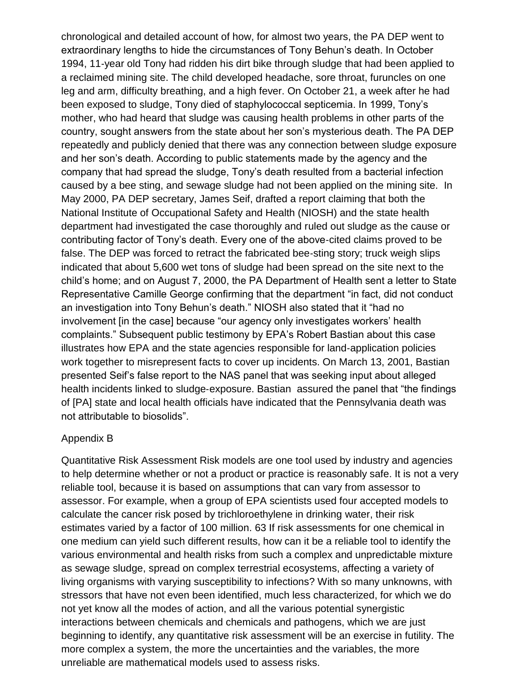chronological and detailed account of how, for almost two years, the PA DEP went to extraordinary lengths to hide the circumstances of Tony Behun's death. In October 1994, 11‐year old Tony had ridden his dirt bike through sludge that had been applied to a reclaimed mining site. The child developed headache, sore throat, furuncles on one leg and arm, difficulty breathing, and a high fever. On October 21, a week after he had been exposed to sludge, Tony died of staphylococcal septicemia. In 1999, Tony's mother, who had heard that sludge was causing health problems in other parts of the country, sought answers from the state about her son's mysterious death. The PA DEP repeatedly and publicly denied that there was any connection between sludge exposure and her son's death. According to public statements made by the agency and the company that had spread the sludge, Tony's death resulted from a bacterial infection caused by a bee sting, and sewage sludge had not been applied on the mining site. In May 2000, PA DEP secretary, James Seif, drafted a report claiming that both the National Institute of Occupational Safety and Health (NIOSH) and the state health department had investigated the case thoroughly and ruled out sludge as the cause or contributing factor of Tony's death. Every one of the above‐cited claims proved to be false. The DEP was forced to retract the fabricated bee-sting story; truck weigh slips indicated that about 5,600 wet tons of sludge had been spread on the site next to the child's home; and on August 7, 2000, the PA Department of Health sent a letter to State Representative Camille George confirming that the department "in fact, did not conduct an investigation into Tony Behun's death." NIOSH also stated that it "had no involvement [in the case] because "our agency only investigates workers' health complaints." Subsequent public testimony by EPA's Robert Bastian about this case illustrates how EPA and the state agencies responsible for land‐application policies work together to misrepresent facts to cover up incidents. On March 13, 2001, Bastian presented Seif's false report to the NAS panel that was seeking input about alleged health incidents linked to sludge-exposure. Bastian assured the panel that "the findings of [PA] state and local health officials have indicated that the Pennsylvania death was not attributable to biosolids".

#### Appendix B

Quantitative Risk Assessment Risk models are one tool used by industry and agencies to help determine whether or not a product or practice is reasonably safe. It is not a very reliable tool, because it is based on assumptions that can vary from assessor to assessor. For example, when a group of EPA scientists used four accepted models to calculate the cancer risk posed by trichloroethylene in drinking water, their risk estimates varied by a factor of 100 million. 63 If risk assessments for one chemical in one medium can yield such different results, how can it be a reliable tool to identify the various environmental and health risks from such a complex and unpredictable mixture as sewage sludge, spread on complex terrestrial ecosystems, affecting a variety of living organisms with varying susceptibility to infections? With so many unknowns, with stressors that have not even been identified, much less characterized, for which we do not yet know all the modes of action, and all the various potential synergistic interactions between chemicals and chemicals and pathogens, which we are just beginning to identify, any quantitative risk assessment will be an exercise in futility. The more complex a system, the more the uncertainties and the variables, the more unreliable are mathematical models used to assess risks.